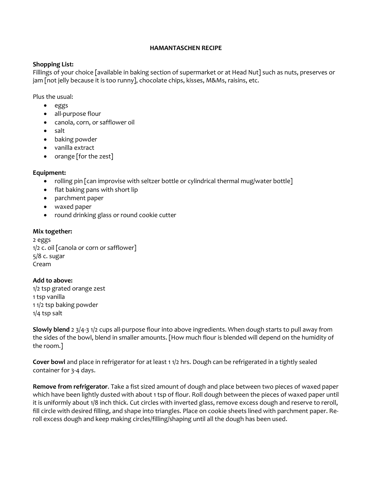#### HAMANTASCHEN RECIPE

### Shopping List:

Fillings of your choice [available in baking section of supermarket or at Head Nut] such as nuts, preserves or jam [not jelly because it is too runny], chocolate chips, kisses, M&Ms, raisins, etc.

Plus the usual:

- eggs
- all-purpose flour
- canola, corn, or safflower oil
- salt
- baking powder
- vanilla extract
- orange [for the zest]

## Equipment:

- rolling pin  $\lceil$  can improvise with seltzer bottle or cylindrical thermal mug/water bottle $\rceil$
- flat baking pans with short lip
- parchment paper
- waxed paper
- round drinking glass or round cookie cutter

### Mix together:

2 eggs 1/2 c. oil [canola or corn or safflower] 5/8 c. sugar Cream

# Add to above:

1/2 tsp grated orange zest 1 tsp vanilla 1 1/2 tsp baking powder 1/4 tsp salt

Slowly blend 2 3/4-3 1/2 cups all-purpose flour into above ingredients. When dough starts to pull away from the sides of the bowl, blend in smaller amounts. [How much flour is blended will depend on the humidity of the room.]

Cover bowl and place in refrigerator for at least 1 1/2 hrs. Dough can be refrigerated in a tightly sealed container for 3-4 days.

Remove from refrigerator. Take a fist sized amount of dough and place between two pieces of waxed paper which have been lightly dusted with about 1 tsp of flour. Roll dough between the pieces of waxed paper until it is uniformly about 1/8 inch thick. Cut circles with inverted glass, remove excess dough and reserve to reroll, fill circle with desired filling, and shape into triangles. Place on cookie sheets lined with parchment paper. Reroll excess dough and keep making circles/filling/shaping until all the dough has been used.